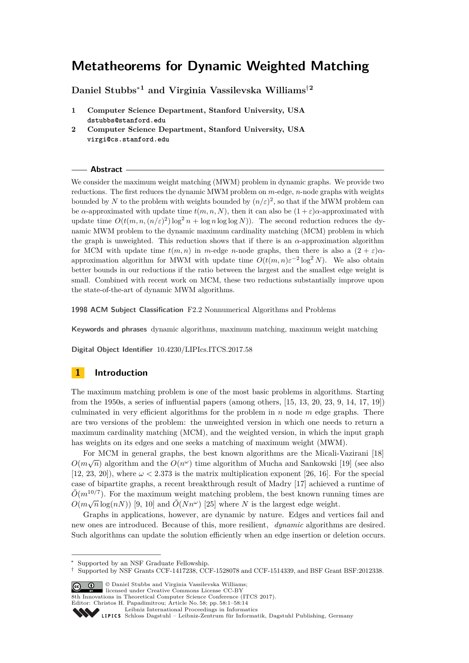# **Metatheorems for Dynamic Weighted Matching**

**Daniel Stubbs**<sup>∗</sup>**<sup>1</sup> and Virginia Vassilevska Williams**†**<sup>2</sup>**

**1 Computer Science Department, Stanford University, USA dstubbs@stanford.edu**

## **Abstract**

We consider the maximum weight matching (MWM) problem in dynamic graphs. We provide two reductions. The first reduces the dynamic MWM problem on *m*-edge, *n*-node graphs with weights bounded by *N* to the problem with weights bounded by  $(n/\varepsilon)^2$ , so that if the MWM problem can be *α*-approximated with update time  $t(m, n, N)$ , then it can also be  $(1 + \varepsilon)a$ -approximated with update time  $O(t(m, n, (n/\varepsilon)^2) \log^2 n + \log n \log \log N)$ . The second reduction reduces the dynamic MWM problem to the dynamic maximum cardinality matching (MCM) problem in which the graph is unweighted. This reduction shows that if there is an *α*-approximation algorithm for MCM with update time  $t(m, n)$  in *m*-edge *n*-node graphs, then there is also a  $(2 + \varepsilon)\alpha$ approximation algorithm for MWM with update time  $O(t(m, n)\varepsilon^{-2} \log^2 N)$ . We also obtain better bounds in our reductions if the ratio between the largest and the smallest edge weight is small. Combined with recent work on MCM, these two reductions substantially improve upon the state-of-the-art of dynamic MWM algorithms.

**1998 ACM Subject Classification** F2.2 Nonnumerical Algorithms and Problems

**Keywords and phrases** dynamic algorithms, maximum matching, maximum weight matching

**Digital Object Identifier** [10.4230/LIPIcs.ITCS.2017.58](http://dx.doi.org/10.4230/LIPIcs.ITCS.2017.58)

# **1 Introduction**

The maximum matching problem is one of the most basic problems in algorithms. Starting from the 1950s, a series of influential papers (among others, [\[15,](#page-13-0) [13,](#page-12-0) [20,](#page-13-1) [23,](#page-13-2) [9,](#page-12-1) [14,](#page-12-2) [17,](#page-13-3) [19\]](#page-13-4)) culminated in very efficient algorithms for the problem in *n* node *m* edge graphs. There are two versions of the problem: the unweighted version in which one needs to return a maximum cardinality matching (MCM), and the weighted version, in which the input graph has weights on its edges and one seeks a matching of maximum weight (MWM).

For MCM in general graphs, the best known algorithms are the Micali-Vazirani [\[18\]](#page-13-5)  $O(m\sqrt{n})$  algorithm and the  $O(n^{\omega})$  time algorithm of Mucha and Sankowski [\[19\]](#page-13-4) (see also [\[12,](#page-12-3) [23,](#page-13-2) [20\]](#page-13-1)), where  $\omega < 2.373$  is the matrix multiplication exponent [\[26,](#page-13-6) [16\]](#page-13-7). For the special case of bipartite graphs, a recent breakthrough result of Madry [\[17\]](#page-13-3) achieved a runtime of  $\tilde{O}(m^{10/7})$ . For the maximum weight matching problem, the best known running times are  $O(m\sqrt{n}\log(nN))$  [\[9,](#page-12-1) [10\]](#page-12-4) and  $\tilde{O}(Nn^{\omega})$  [\[25\]](#page-13-8) where *N* is the largest edge weight.

Graphs in applications, however, are dynamic by nature. Edges and vertices fail and new ones are introduced. Because of this, more resilient, *dynamic* algorithms are desired. Such algorithms can update the solution efficiently when an edge insertion or deletion occurs.

© Daniel Stubbs and Virginia Vassilevska Williams; licensed under Creative Commons License CC-BY

8th Innovations in Theoretical Computer Science Conference (ITCS 2017).

Editor: Christos H. Papadimitrou; Article No. 58; pp. 58:1–58[:14](#page-13-9)

**<sup>2</sup> Computer Science Department, Stanford University, USA virgi@cs.stanford.edu**

Supported by an NSF Graduate Fellowship.

<sup>†</sup> Supported by NSF Grants CCF-1417238, CCF-1528078 and CCF-1514339, and BSF Grant BSF:2012338.

[Leibniz International Proceedings in Informatics](http://www.dagstuhl.de/lipics/)

Leibniz international ruceedings in miorimetric<br>
LIPICS [Schloss Dagstuhl – Leibniz-Zentrum für Informatik, Dagstuhl Publishing, Germany](http://www.dagstuhl.de)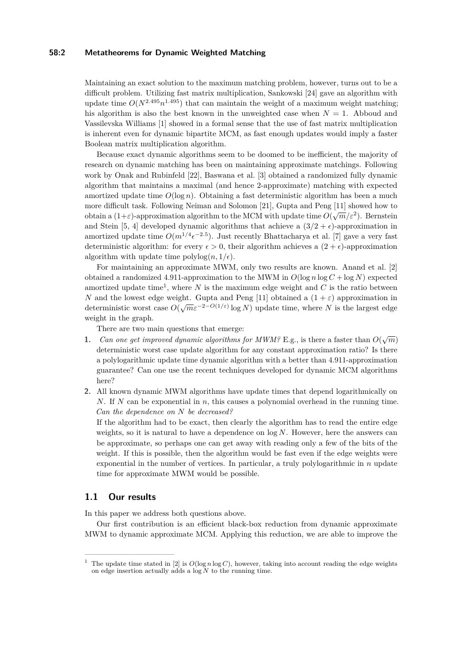## **58:2 Metatheorems for Dynamic Weighted Matching**

Maintaining an exact solution to the maximum matching problem, however, turns out to be a difficult problem. Utilizing fast matrix multiplication, Sankowski [\[24\]](#page-13-10) gave an algorithm with update time  $O(N^{2.495}n^{1.495})$  that can maintain the weight of a maximum weight matching; his algorithm is also the best known in the unweighted case when *N* = 1. Abboud and Vassilevska Williams [\[1\]](#page-12-5) showed in a formal sense that the use of fast matrix multiplication is inherent even for dynamic bipartite MCM, as fast enough updates would imply a faster Boolean matrix multiplication algorithm.

Because exact dynamic algorithms seem to be doomed to be inefficient, the majority of research on dynamic matching has been on maintaining approximate matchings. Following work by Onak and Rubinfeld [\[22\]](#page-13-11), Baswana et al. [\[3\]](#page-12-6) obtained a randomized fully dynamic algorithm that maintains a maximal (and hence 2-approximate) matching with expected amortized update time  $O(\log n)$ . Obtaining a fast deterministic algorithm has been a much more difficult task. Following Neiman and Solomon [\[21\]](#page-13-12), Gupta and Peng [\[11\]](#page-12-7) showed how to obtain a  $(1+\varepsilon)$ -approximation algorithm to the MCM with update time  $O(\sqrt{m}/\varepsilon^2)$ . Bernstein and Stein [\[5,](#page-12-8) [4\]](#page-12-9) developed dynamic algorithms that achieve a  $(3/2 + \epsilon)$ -approximation in amortized update time  $O(m^{1/4} \epsilon^{-2.5})$ . Just recently Bhattacharya et al. [\[7\]](#page-12-10) gave a very fast deterministic algorithm: for every  $\epsilon > 0$ , their algorithm achieves a  $(2 + \epsilon)$ -approximation algorithm with update time  $\text{polylog}(n, 1/\epsilon)$ .

For maintaining an approximate MWM, only two results are known. Anand et al. [\[2\]](#page-12-11) obtained a randomized 4.911-approximation to the MWM in  $O(\log n \log C + \log N)$  expected amortized update time<sup>[1](#page-1-0)</sup>, where  $N$  is the maximum edge weight and  $C$  is the ratio between *N* and the lowest edge weight. Gupta and Peng [\[11\]](#page-12-7) obtained a  $(1 + \varepsilon)$  approximation in deterministic worst case  $O(\sqrt{m}\epsilon^{-2-O(1/\epsilon)}\log N)$  update time, where *N* is the largest edge weight in the graph.

There are two main questions that emerge:

- **1.** *Can one get improved dynamic algorithms for MWM?* E.g., is there a faster than  $O(\sqrt{m})$ deterministic worst case update algorithm for any constant approximation ratio? Is there a polylogarithmic update time dynamic algorithm with a better than 4*.*911-approximation guarantee? Can one use the recent techniques developed for dynamic MCM algorithms here?
- **2.** All known dynamic MWM algorithms have update times that depend logarithmically on *N*. If *N* can be exponential in *n*, this causes a polynomial overhead in the running time. *Can the dependence on N be decreased?*

If the algorithm had to be exact, then clearly the algorithm has to read the entire edge weights, so it is natural to have a dependence on log *N*. However, here the answers can be approximate, so perhaps one can get away with reading only a few of the bits of the weight. If this is possible, then the algorithm would be fast even if the edge weights were exponential in the number of vertices. In particular, a truly polylogarithmic in *n* update time for approximate MWM would be possible.

# **1.1 Our results**

In this paper we address both questions above.

Our first contribution is an efficient black-box reduction from dynamic approximate MWM to dynamic approximate MCM. Applying this reduction, we are able to improve the

<span id="page-1-0"></span><sup>&</sup>lt;sup>1</sup> The update time stated in [\[2\]](#page-12-11) is  $O(\log n \log C)$ , however, taking into account reading the edge weights on edge insertion actually adds a log *N* to the running time.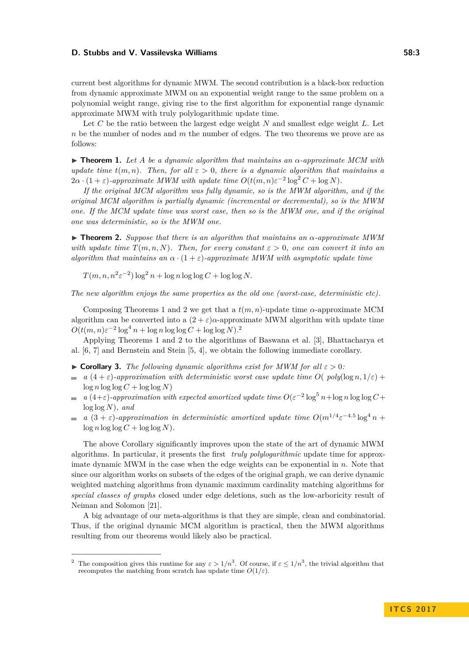current best algorithms for dynamic MWM. The second contribution is a black-box reduction from dynamic approximate MWM on an exponential weight range to the same problem on a polynomial weight range, giving rise to the first algorithm for exponential range dynamic approximate MWM with truly polylogarithmic update time.

Let *C* be the ratio between the largest edge weight *N* and smallest edge weight *L*. Let *n* be the number of nodes and *m* the number of edges. The two theorems we prove are as follows:

<span id="page-2-0"></span> $\triangleright$  **Theorem 1.** Let A be a dynamic algorithm that maintains an  $\alpha$ -approximate MCM with *update time*  $t(m, n)$ *. Then, for all*  $\varepsilon > 0$ *, there is a dynamic algorithm that maintains a*  $2\alpha \cdot (1+\varepsilon)$ -approximate MWM with update time  $O(t(m,n)\varepsilon^{-2} \log^2 C + \log N)$ .

*If the original MCM algorithm was fully dynamic, so is the MWM algorithm, and if the original MCM algorithm is partially dynamic (incremental or decremental), so is the MWM one. If the MCM update time was worst case, then so is the MWM one, and if the original one was deterministic, so is the MWM one.*

<span id="page-2-1"></span>I **Theorem 2.** *Suppose that there is an algorithm that maintains an α-approximate MWM with update time*  $T(m, n, N)$ *. Then, for every constant*  $\varepsilon > 0$ *, one can convert it into an algorithm that maintains an*  $\alpha \cdot (1 + \varepsilon)$ -*approximate MWM with asymptotic update time* 

 $T(m, n, n^2 \varepsilon^{-2}) \log^2 n + \log n \log \log C + \log \log N$ .

*The new algorithm enjoys the same properties as the old one (worst-case, deterministic etc).*

Composing Theorems [1](#page-2-0) and [2](#page-2-1) we get that a  $t(m, n)$ -update time  $\alpha$ -approximate MCM algorithm can be converted into a  $(2 + \varepsilon)\alpha$ -approximate MWM algorithm with update time  $O(t(m, n)\varepsilon^{-2}\log^4 n + \log n\log\log C + \log\log N$  $O(t(m, n)\varepsilon^{-2}\log^4 n + \log n\log\log C + \log\log N$  $O(t(m, n)\varepsilon^{-2}\log^4 n + \log n\log\log C + \log\log N$ .<sup>2</sup>

Applying Theorems [1](#page-2-0) and [2](#page-2-1) to the algorithms of Baswana et al. [\[3\]](#page-12-6), Bhattacharya et al. [\[6,](#page-12-12) [7\]](#page-12-10) and Bernstein and Stein [\[5,](#page-12-8) [4\]](#page-12-9), we obtain the following immediate corollary.

- $\triangleright$  **Corollary 3.** *The following dynamic algorithms exist for MWM for all*  $\varepsilon > 0$ *:*
- *a*  $(4 + \varepsilon)$ -approximation with deterministic worst case update time  $O(p_{\text{ol}}/(\log n, 1/\varepsilon))$  $\log n \log \log C + \log \log N$
- *a*  $(4+\varepsilon)$ -approximation with expected amortized update time  $O(\varepsilon^{-2} \log^5 n + \log n \log \log C +$  $\sim$ log log *N*)*, and*
- *a*  $(3 + \varepsilon)$ -approximation in deterministic amortized update time  $O(m^{1/4}\varepsilon^{-4.5}\log^4 n +$  $\log n \log \log C + \log \log N$ ).

The above Corollary significantly improves upon the state of the art of dynamic MWM algorithms. In particular, it presents the first *truly polylogarithmic* update time for approximate dynamic MWM in the case when the edge weights can be exponential in *n*. Note that since our algorithm works on subsets of the edges of the original graph, we can derive dynamic weighted matching algorithms from dynamic maximum cardinality matching algorithms for *special classes of graphs* closed under edge deletions, such as the low-arboricity result of Neiman and Solomon [\[21\]](#page-13-12).

A big advantage of our meta-algorithms is that they are simple, clean and combinatorial. Thus, if the original dynamic MCM algorithm is practical, then the MWM algorithms resulting from our theorems would likely also be practical.

<span id="page-2-2"></span><sup>&</sup>lt;sup>2</sup> The composition gives this runtime for any  $\varepsilon > 1/n^3$ . Of course, if  $\varepsilon \leq 1/n^3$ , the trivial algorithm that recomputes the matching from scratch has update time  $O(1/\varepsilon)$ .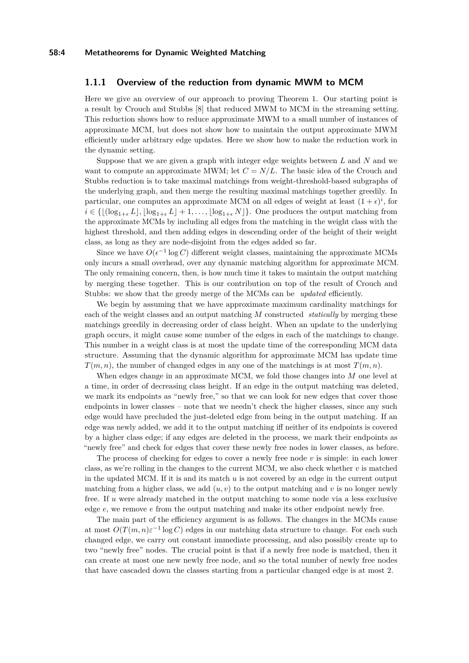## **1.1.1 Overview of the reduction from dynamic MWM to MCM**

Here we give an overview of our approach to proving Theorem [1.](#page-2-0) Our starting point is a result by Crouch and Stubbs [\[8\]](#page-12-13) that reduced MWM to MCM in the streaming setting. This reduction shows how to reduce approximate MWM to a small number of instances of approximate MCM, but does not show how to maintain the output approximate MWM efficiently under arbitrary edge updates. Here we show how to make the reduction work in the dynamic setting.

Suppose that we are given a graph with integer edge weights between *L* and *N* and we want to compute an approximate MWM; let  $C = N/L$ . The basic idea of the Crouch and Stubbs reduction is to take maximal matchings from weight-threshold-based subgraphs of the underlying graph, and then merge the resulting maximal matchings together greedily. In particular, one computes an approximate MCM on all edges of weight at least  $(1+\epsilon)^i$ , for  $i \in \{[(\log_{1+\epsilon} L], [\log_{1+\epsilon} L] + 1, \ldots, [\log_{1+\epsilon} N]\}.$  One produces the output matching from the approximate MCMs by including all edges from the matching in the weight class with the highest threshold, and then adding edges in descending order of the height of their weight class, as long as they are node-disjoint from the edges added so far.

Since we have  $O(\epsilon^{-1} \log C)$  different weight classes, maintaining the approximate MCMs only incurs a small overhead, over any dynamic matching algorithm for approximate MCM. The only remaining concern, then, is how much time it takes to maintain the output matching by merging these together. This is our contribution on top of the result of Crouch and Stubbs: we show that the greedy merge of the MCMs can be *updated* efficiently.

We begin by assuming that we have approximate maximum cardinality matchings for each of the weight classes and an output matching *M* constructed *statically* by merging these matchings greedily in decreasing order of class height. When an update to the underlying graph occurs, it might cause some number of the edges in each of the matchings to change. This number in a weight class is at most the update time of the corresponding MCM data structure. Assuming that the dynamic algorithm for approximate MCM has update time *T*(*m, n*), the number of changed edges in any one of the matchings is at most *T*(*m, n*).

When edges change in an approximate MCM, we fold those changes into *M* one level at a time, in order of decreasing class height. If an edge in the output matching was deleted, we mark its endpoints as "newly free," so that we can look for new edges that cover those endpoints in lower classes – note that we needn't check the higher classes, since any such edge would have precluded the just-deleted edge from being in the output matching. If an edge was newly added, we add it to the output matching iff neither of its endpoints is covered by a higher class edge; if any edges are deleted in the process, we mark their endpoints as "newly free" and check for edges that cover these newly free nodes in lower classes, as before.

The process of checking for edges to cover a newly free node *v* is simple: in each lower class, as we're rolling in the changes to the current MCM, we also check whether *v* is matched in the updated MCM. If it is and its match *u* is not covered by an edge in the current output matching from a higher class, we add  $(u, v)$  to the output matching and v is no longer newly free. If *u* were already matched in the output matching to some node via a less exclusive edge *e*, we remove *e* from the output matching and make its other endpoint newly free.

The main part of the efficiency argument is as follows. The changes in the MCMs cause at most  $O(T(m, n)\varepsilon^{-1} \log C)$  edges in our matching data structure to change. For each such changed edge, we carry out constant immediate processing, and also possibly create up to two "newly free" nodes. The crucial point is that if a newly free node is matched, then it can create at most one new newly free node, and so the total number of newly free nodes that have cascaded down the classes starting from a particular changed edge is at most 2.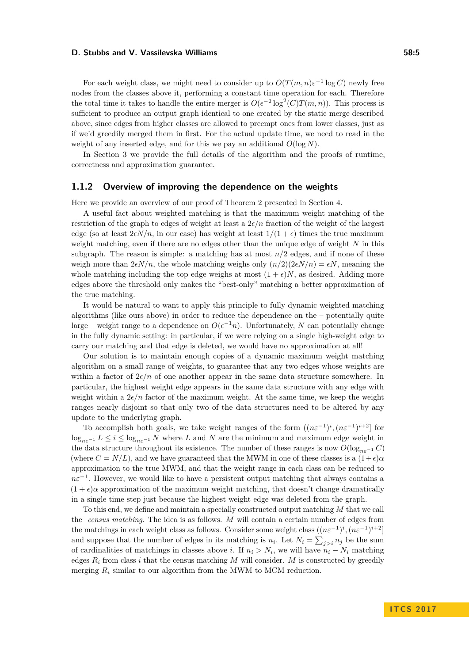For each weight class, we might need to consider up to  $O(T(m, n)\varepsilon^{-1} \log C)$  newly free nodes from the classes above it, performing a constant time operation for each. Therefore the total time it takes to handle the entire merger is  $O(\epsilon^{-2} \log^2(C) T(m, n))$ . This process is sufficient to produce an output graph identical to one created by the static merge described above, since edges from higher classes are allowed to preempt ones from lower classes, just as if we'd greedily merged them in first. For the actual update time, we need to read in the weight of any inserted edge, and for this we pay an additional *O*(log *N*).

In Section [3](#page-7-0) we provide the full details of the algorithm and the proofs of runtime, correctness and approximation guarantee.

## **1.1.2 Overview of improving the dependence on the weights**

Here we provide an overview of our proof of Theorem [2](#page-2-1) presented in Section [4.](#page-7-1)

A useful fact about weighted matching is that the maximum weight matching of the restriction of the graph to edges of weight at least a  $2\epsilon/n$  fraction of the weight of the largest edge (so at least  $2\epsilon N/n$ , in our case) has weight at least  $1/(1+\epsilon)$  times the true maximum weight matching, even if there are no edges other than the unique edge of weight *N* in this subgraph. The reason is simple: a matching has at most  $n/2$  edges, and if none of these weigh more than  $2\epsilon N/n$ , the whole matching weighs only  $(n/2)(2\epsilon N/n) = \epsilon N$ , meaning the whole matching including the top edge weighs at most  $(1 + \epsilon)N$ , as desired. Adding more edges above the threshold only makes the "best-only" matching a better approximation of the true matching.

It would be natural to want to apply this principle to fully dynamic weighted matching algorithms (like ours above) in order to reduce the dependence on the – potentially quite large – weight range to a dependence on  $O(\epsilon^{-1}n)$ . Unfortunately, N can potentially change in the fully dynamic setting: in particular, if we were relying on a single high-weight edge to carry our matching and that edge is deleted, we would have no approximation at all!

Our solution is to maintain enough copies of a dynamic maximum weight matching algorithm on a small range of weights, to guarantee that any two edges whose weights are within a factor of  $2\epsilon/n$  of one another appear in the same data structure somewhere. In particular, the highest weight edge appears in the same data structure with any edge with weight within a  $2\epsilon/n$  factor of the maximum weight. At the same time, we keep the weight ranges nearly disjoint so that only two of the data structures need to be altered by any update to the underlying graph.

To accomplish both goals, we take weight ranges of the form  $((n\varepsilon^{-1})^i, (n\varepsilon^{-1})^{i+2}]$  for log<sub>n $ε$ </sub>−1</sub> *L* ≤ *i* ≤ log<sub>n $ε$ </sub>−1 *N* where *L* and *N* are the minimum and maximum edge weight in the data structure throughout its existence. The number of these ranges is now  $O(\log_{n\epsilon^{-1}} C)$ (where  $C = N/L$ ), and we have guaranteed that the MWM in one of these classes is a  $(1+\epsilon)\alpha$ approximation to the true MWM, and that the weight range in each class can be reduced to  $n\varepsilon^{-1}$ . However, we would like to have a persistent output matching that always contains a  $(1 + \epsilon)\alpha$  approximation of the maximum weight matching, that doesn't change dramatically in a single time step just because the highest weight edge was deleted from the graph.

To this end, we define and maintain a specially constructed output matching *M* that we call the *census matching*. The idea is as follows. *M* will contain a certain number of edges from the matchings in each weight class as follows. Consider some weight class  $((n\varepsilon^{-1})^i, (n\varepsilon^{-1})^{i+2}]$ and suppose that the number of edges in its matching is  $n_i$ . Let  $N_i = \sum_{j>i} n_j$  be the sum of cardinalities of matchings in classes above *i*. If  $n_i > N_i$ , we will have  $n_i - N_i$  matching edges  $R_i$  from class *i* that the census matching M will consider. M is constructed by greedily merging *R<sup>i</sup>* similar to our algorithm from the MWM to MCM reduction.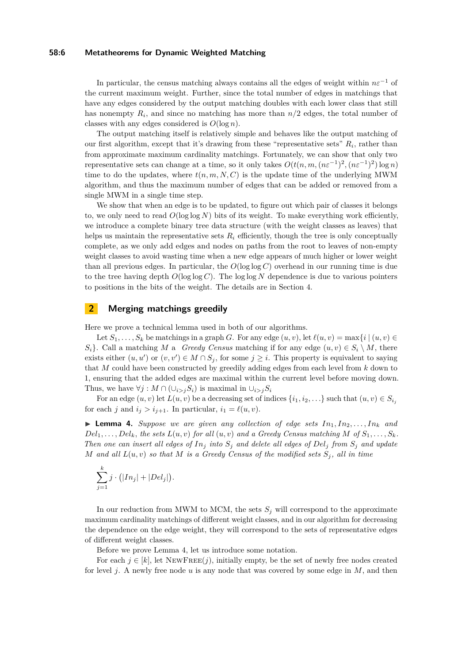## **58:6 Metatheorems for Dynamic Weighted Matching**

In particular, the census matching always contains all the edges of weight within  $n\varepsilon^{-1}$  of the current maximum weight. Further, since the total number of edges in matchings that have any edges considered by the output matching doubles with each lower class that still has nonempty  $R_i$ , and since no matching has more than  $n/2$  edges, the total number of classes with any edges considered is  $O(\log n)$ .

The output matching itself is relatively simple and behaves like the output matching of our first algorithm, except that it's drawing from these "representative sets"  $R_i$ , rather than from approximate maximum cardinality matchings. Fortunately, we can show that only two representative sets can change at a time, so it only takes  $O(t(n, m, (n\varepsilon^{-1})^2, (n\varepsilon^{-1})^2) \log n)$ time to do the updates, where  $t(n, m, N, C)$  is the update time of the underlying MWM algorithm, and thus the maximum number of edges that can be added or removed from a single MWM in a single time step.

We show that when an edge is to be updated, to figure out which pair of classes it belongs to, we only need to read  $O(\log \log N)$  bits of its weight. To make everything work efficiently, we introduce a complete binary tree data structure (with the weight classes as leaves) that helps us maintain the representative sets  $R_i$  efficiently, though the tree is only conceptually complete, as we only add edges and nodes on paths from the root to leaves of non-empty weight classes to avoid wasting time when a new edge appears of much higher or lower weight than all previous edges. In particular, the *O*(log log *C*) overhead in our running time is due to the tree having depth  $O(\log \log C)$ . The  $\log \log N$  dependence is due to various pointers to positions in the bits of the weight. The details are in Section [4.](#page-7-1)

## <span id="page-5-1"></span>**2 Merging matchings greedily**

Here we prove a technical lemma used in both of our algorithms.

Let  $S_1, \ldots, S_k$  be matchings in a graph *G*. For any edge  $(u, v)$ , let  $\ell(u, v) = \max\{i \mid (u, v) \in$  $S_i$ . Call a matching *M* a *Greedy Census* matching if for any edge  $(u, v) \in S_i \setminus M$ , there exists either  $(u, u')$  or  $(v, v') \in M \cap S_j$ , for some  $j \geq i$ . This property is equivalent to saying that *M* could have been constructed by greedily adding edges from each level from *k* down to 1, ensuring that the added edges are maximal within the current level before moving down. Thus, we have  $\forall j : M \cap (\cup_{i>j} S_i)$  is maximal in  $\cup_{i>j} S_i$ 

For an edge  $(u, v)$  let  $L(u, v)$  be a decreasing set of indices  $\{i_1, i_2, \ldots\}$  such that  $(u, v) \in S_{i_j}$ for each *j* and  $i_j > i_{j+1}$ . In particular,  $i_1 = \ell(u, v)$ .

<span id="page-5-0"></span>**I Lemma 4.** Suppose we are given any collection of edge sets  $In_1, In_2, \ldots, In_k$  and  $Del_1, \ldots, Del_k$ , the sets  $L(u, v)$  *for all*  $(u, v)$  *and a Greedy Census matching*  $M$  *of*  $S_1, \ldots, S_k$ *. Then one can insert all edges of*  $In_j$  *into*  $S_j$  *and delete all edges of*  $Del_j$  *from*  $S_j$  *and update M* and all  $L(u, v)$  so that *M* is a Greedy Census of the modified sets  $S_i$ , all in time

$$
\sum_{j=1}^k j \cdot (|In_j| + |Del_j|).
$$

In our reduction from MWM to MCM, the sets  $S_j$  will correspond to the approximate maximum cardinality matchings of different weight classes, and in our algorithm for decreasing the dependence on the edge weight, they will correspond to the sets of representative edges of different weight classes.

Before we prove Lemma [4,](#page-5-0) let us introduce some notation.

For each  $j \in [k]$ , let  $NEWFree(j)$ , initially empty, be the set of newly free nodes created for level *j*. A newly free node *u* is any node that was covered by some edge in *M*, and then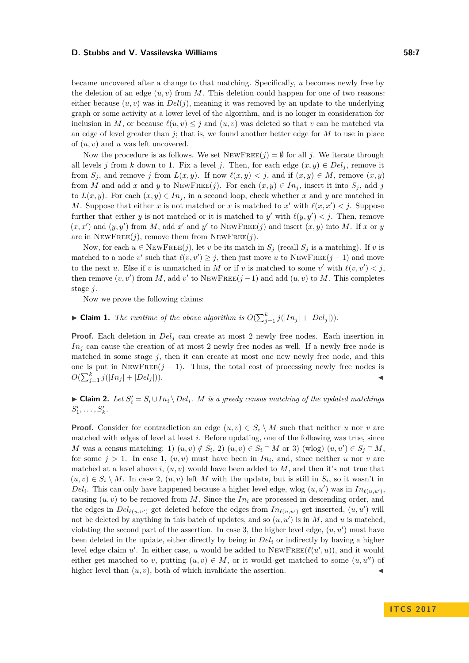became uncovered after a change to that matching. Specifically, *u* becomes newly free by the deletion of an edge  $(u, v)$  from M. This deletion could happen for one of two reasons: either because  $(u, v)$  was in  $Del(j)$ , meaning it was removed by an update to the underlying graph or some activity at a lower level of the algorithm, and is no longer in consideration for inclusion in *M*, or because  $\ell(u, v) \leq j$  and  $(u, v)$  was deleted so that *v* can be matched via an edge of level greater than  $j$ ; that is, we found another better edge for  $M$  to use in place of (*u, v*) and *u* was left uncovered.

Now the procedure is as follows. We set  $NEWFREE(j) = \emptyset$  for all *j*. We iterate through all levels *j* from *k* down to 1. Fix a level *j*. Then, for each edge  $(x, y) \in Del_j$ , remove it from  $S_j$ , and remove *j* from  $L(x, y)$ . If now  $\ell(x, y) < j$ , and if  $(x, y) \in M$ , remove  $(x, y)$ from *M* and add *x* and *y* to NEWFREE(*j*). For each  $(x, y) \in In_j$ , insert it into  $S_j$ , add *j* to  $L(x, y)$ . For each  $(x, y) \in In_j$ , in a second loop, check whether x and y are matched in *M*. Suppose that either *x* is not matched or *x* is matched to *x*<sup>'</sup> with  $\ell(x, x') < j$ . Suppose further that either *y* is not matched or it is matched to *y'* with  $\ell(y, y') < j$ . Then, remove  $(x, x')$  and  $(y, y')$  from *M*, add *x*<sup>'</sup> and *y*<sup>'</sup> to NEWFREE(*j*) and insert  $(x, y)$  into *M*. If *x* or *y* are in  $NEWFREE(j)$ , remove them from  $NEWFree(j)$ .

Now, for each  $u \in \text{NewFree}(j)$ , let *v* be its match in  $S_j$  (recall  $S_j$  is a matching). If *v* is matched to a node *v*' such that  $\ell(v, v') \geq j$ , then just move *u* to NEWFREE(*j* − 1) and move to the next *u*. Else if *v* is unmatched in *M* or if *v* is matched to some *v*' with  $\ell(v, v') < j$ , then remove  $(v, v')$  from *M*, add  $v'$  to NEWFREE $(j - 1)$  and add  $(u, v)$  to *M*. This completes stage *j*.

Now we prove the following claims:

 $\blacktriangleright$  **Claim 1.** The runtime of the above algorithm is  $O(\sum_{j=1}^{k} j(|In_j| + |Del_j|)).$ 

**Proof.** Each deletion in  $Del<sub>j</sub>$  can create at most 2 newly free nodes. Each insertion in *In<sub>j</sub>* can cause the creation of at most 2 newly free nodes as well. If a newly free node is matched in some stage *j*, then it can create at most one new newly free node, and this one is put in  $NEWFREE(j - 1)$ . Thus, the total cost of processing newly free nodes is  $O(\sum_{j=1}^{k} j(|In_j| + |Del_j|)).$ 

<span id="page-6-0"></span>► **Claim 2.** *Let*  $S_i' = S_i \cup In_i \setminus Del_i$ *. M is a greedy census matching of the updated matchings*  $S'_{1}, \ldots, S'_{k}$ .

**Proof.** Consider for contradiction an edge  $(u, v) \in S_i \setminus M$  such that neither *u* nor *v* are matched with edges of level at least *i*. Before updating, one of the following was true, since *M* was a census matching: 1)  $(u, v) \notin S_i$ , 2)  $(u, v) \in S_i \cap M$  or 3)  $(w \log)(u, u') \in S_j \cap M$ , for some  $j > 1$ . In case 1,  $(u, v)$  must have been in  $In_i$ , and, since neither *u* nor *v* are matched at a level above  $i, (u, v)$  would have been added to  $M$ , and then it's not true that  $(u, v) \in S_i \setminus M$ . In case 2,  $(u, v)$  left M with the update, but is still in  $S_i$ , so it wasn't in  $Del_i$ . This can only have happened because a higher level edge, wlog  $(u, u')$  was in  $In_{\ell(u, u')}$ , causing  $(u, v)$  to be removed from *M*. Since the  $In<sub>i</sub>$  are processed in descending order, and the edges in  $Del_{\ell(u,u')}$  get deleted before the edges from  $In_{\ell(u,u')}$  get inserted,  $(u,u')$  will not be deleted by anything in this batch of updates, and so  $(u, u')$  is in  $M$ , and  $u$  is matched, violating the second part of the assertion. In case 3, the higher level edge,  $(u, u')$  must have been deleted in the update, either directly by being in *Del<sup>i</sup>* or indirectly by having a higher level edge claim  $u'$ . In either case, *u* would be added to NEWFREE( $\ell(u', u)$ ), and it would either get matched to *v*, putting  $(u, v) \in M$ , or it would get matched to some  $(u, u'')$  of higher level than  $(u, v)$ , both of which invalidate the assertion.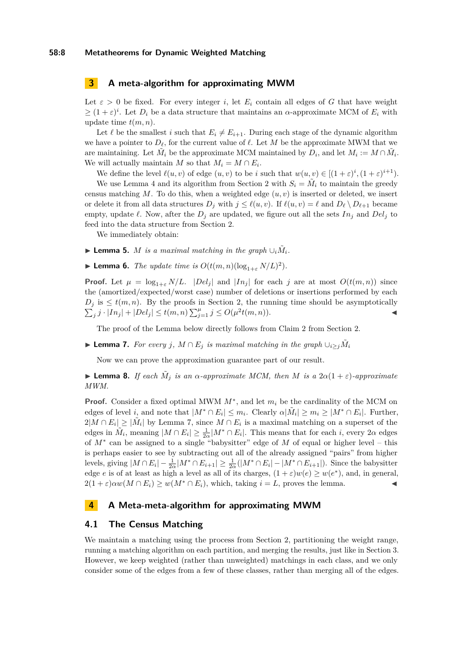#### **58:8 Metatheorems for Dynamic Weighted Matching**

# <span id="page-7-0"></span>**3 A meta-algorithm for approximating MWM**

Let  $\varepsilon > 0$  be fixed. For every integer *i*, let  $E_i$  contain all edges of *G* that have weight  $\geq (1+\varepsilon)^i$ . Let  $D_i$  be a data structure that maintains an *α*-approximate MCM of  $E_i$  with update time *t*(*m, n*).

Let  $\ell$  be the smallest *i* such that  $E_i \neq E_{i+1}$ . During each stage of the dynamic algorithm we have a pointer to  $D_\ell$ , for the current value of  $\ell$ . Let M be the approximate MWM that we are maintaining. Let  $\tilde{M}_i$  be the approximate MCM maintained by  $D_i$ , and let  $M_i := M \cap \tilde{M}_i$ . We will actually maintain *M* so that  $M_i = M \cap E_i$ .

We define the level  $\ell(u, v)$  of edge  $(u, v)$  to be *i* such that  $w(u, v) \in [(1 + \varepsilon)^i, (1 + \varepsilon)^{i+1}).$ 

We use Lemma [4](#page-5-0) and its algorithm from Section [2](#page-5-1) with  $S_i = \tilde{M}_i$  to maintain the greedy census matching  $M$ . To do this, when a weighted edge  $(u, v)$  is inserted or deleted, we insert or delete it from all data structures  $D_j$  with  $j \leq \ell(u, v)$ . If  $\ell(u, v) = \ell$  and  $D_\ell \setminus D_{\ell+1}$  became empty, update  $\ell$ . Now, after the  $D_j$  are updated, we figure out all the sets  $In_j$  and  $Del_j$  to feed into the data structure from Section [2.](#page-5-1)

We immediately obtain:

- ▶ Lemma 5. *M is a maximal matching in the graph*  $\cup_i \tilde{M}_i$ *.*
- **Example 1 C** *Lemma 6. The update time is*  $O(t(m, n)(\log_{1+\epsilon} N/L)^2)$ .

**Proof.** Let  $\mu = \log_{1+\varepsilon} N/L$ .  $|Del_j|$  and  $|In_j|$  for each *j* are at most  $O(t(m,n))$  since the (amortized/expected/worst case) number of deletions or insertions performed by each  $D_j$  is  $\leq t(m,n)$ . By the proofs in Section [2,](#page-5-1) the running time should be asymptotically  $\sum_{j} j \cdot |In_j| + |Del_j| \le t(m, n) \sum_{j=1}^{\mu} j \le O(\mu^2 t(m, n)).$ 

The proof of the Lemma below directly follows from Claim [2](#page-6-0) from Section [2.](#page-5-1)

<span id="page-7-2"></span>▶ **Lemma 7.** *For every j*,  $M \cap E_j$  *is maximal matching in the graph*  $\cup_{i \geq j} \tilde{M}_i$ 

Now we can prove the approximation guarantee part of our result.

**I Lemma 8.** *If each*  $\tilde{M}_j$  *is an*  $\alpha$ *-approximate MCM, then M is a*  $2\alpha(1+\varepsilon)$ *-approximate MWM.*

**Proof.** Consider a fixed optimal MWM  $M^*$ , and let  $m_i$  be the cardinality of the MCM on edges of level *i*, and note that  $|M^* \cap E_i| \leq m_i$ . Clearly  $\alpha |\tilde{M}_i| \geq m_i \geq |M^* \cap E_i|$ . Further,  $2|M \cap E_i| \geq |\tilde{M}_i|$  by Lemma [7,](#page-7-2) since  $M \cap E_i$  is a maximal matching on a superset of the edges in  $\tilde{M}_i$ , meaning  $|M \cap E_i| \geq \frac{1}{2\alpha}|M^* \cap E_i|$ . This means that for each *i*, every 2 $\alpha$  edges of *M*<sup>∗</sup> can be assigned to a single "babysitter" edge of *M* of equal or higher level – this is perhaps easier to see by subtracting out all of the already assigned "pairs" from higher levels, giving  $|M \cap E_i| - \frac{1}{2\alpha}|M^* \cap E_{i+1}| \geq \frac{1}{2\alpha}(|M^* \cap E_i| - |M^* \cap E_{i+1}|)$ . Since the babysitter edge *e* is of at least as high a level as all of its charges,  $(1 + \varepsilon)w(e) \geq w(e^*)$ , and, in general,  $2(1+\varepsilon)\alpha w(M\cap E_i)\geq w(M^*\cap E_i)$ , which, taking  $i=L$ , proves the lemma.

# <span id="page-7-1"></span>**4 A Meta-meta-algorithm for approximating MWM**

## **4.1 The Census Matching**

We maintain a matching using the process from Section [2,](#page-5-1) partitioning the weight range, running a matching algorithm on each partition, and merging the results, just like in Section 3. However, we keep weighted (rather than unweighted) matchings in each class, and we only consider some of the edges from a few of these classes, rather than merging all of the edges.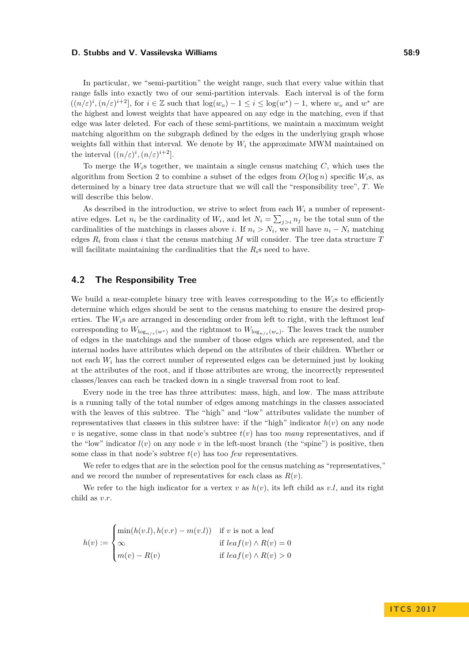In particular, we "semi-partition" the weight range, such that every value within that range falls into exactly two of our semi-partition intervals. Each interval is of the form  $((n/\varepsilon)^i, (n/\varepsilon)^{i+2}]$ , for  $i \in \mathbb{Z}$  such that  $\log(w_o) - 1 \leq i \leq \log(w^*) - 1$ , where  $w_o$  and  $w^*$  are the highest and lowest weights that have appeared on any edge in the matching, even if that edge was later deleted. For each of these semi-partitions, we maintain a maximum weight matching algorithm on the subgraph defined by the edges in the underlying graph whose weights fall within that interval. We denote by  $W_i$  the approximate MWM maintained on the interval  $((n/\varepsilon)^i, (n/\varepsilon)^{i+2}]$ .

To merge the *Wi*s together, we maintain a single census matching *C*, which uses the algorithm from Section [2](#page-5-1) to combine a subset of the edges from  $O(\log n)$  specific  $W_i$ <sup>s</sup>, as determined by a binary tree data structure that we will call the "responsibility tree", *T*. We will describe this below.

As described in the introduction, we strive to select from each  $W_i$  a number of representative edges. Let  $n_i$  be the cardinality of  $W_i$ , and let  $N_i = \sum_{j>i} n_j$  be the total sum of the cardinalities of the matchings in classes above *i*. If  $n_i > N_i$ , we will have  $n_i - N_i$  matching edges  $R_i$  from class *i* that the census matching  $M$  will consider. The tree data structure  $T$ will facilitate maintaining the cardinalities that the  $R_i$ <sup>s</sup> need to have.

# **4.2 The Responsibility Tree**

We build a near-complete binary tree with leaves corresponding to the  $W_i$ <sup>s</sup> to efficiently determine which edges should be sent to the census matching to ensure the desired properties. The  $W_i$ <sup>s</sup> are arranged in descending order from left to right, with the leftmost leaf corresponding to  $W_{\log_{n/\varepsilon}(w^*)}$  and the rightmost to  $W_{\log_{n/\varepsilon}(w_o)}$ . The leaves track the number of edges in the matchings and the number of those edges which are represented, and the internal nodes have attributes which depend on the attributes of their children. Whether or not each *W<sup>i</sup>* has the correct number of represented edges can be determined just by looking at the attributes of the root, and if those attributes are wrong, the incorrectly represented classes/leaves can each be tracked down in a single traversal from root to leaf.

Every node in the tree has three attributes: mass, high, and low. The mass attribute is a running tally of the total number of edges among matchings in the classes associated with the leaves of this subtree. The "high" and "low" attributes validate the number of representatives that classes in this subtree have: if the "high" indicator  $h(v)$  on any node *v* is negative, some class in that node's subtree  $t(v)$  has too *many* representatives, and if the "low" indicator  $l(v)$  on any node  $v$  in the left-most branch (the "spine") is positive, then some class in that node's subtree  $t(v)$  has too *few* representatives.

We refer to edges that are in the selection pool for the census matching as "representatives," and we record the number of representatives for each class as *R*(*v*).

We refer to the high indicator for a vertex  $v$  as  $h(v)$ , its left child as  $v.l$ , and its right child as *v.r*.

$$
h(v) := \begin{cases} \min(h(v.l), h(v.r) - m(v.l)) & \text{if } v \text{ is not a leaf} \\ \infty & \text{if } leaf(v) \land R(v) = 0 \\ m(v) - R(v) & \text{if } leaf(v) \land R(v) > 0 \end{cases}
$$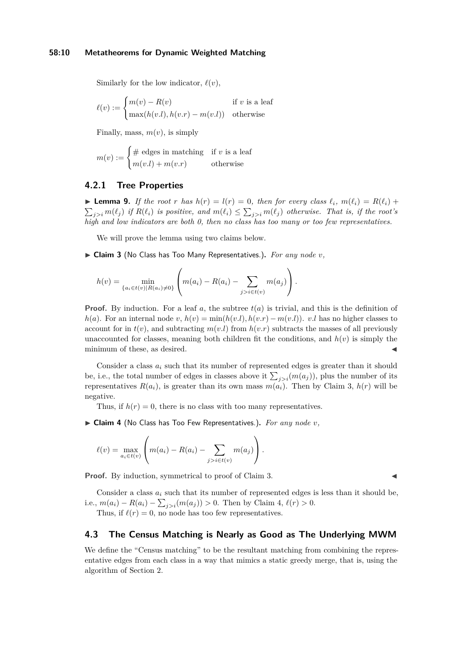Similarly for the low indicator,  $\ell(v)$ ,

$$
\ell(v) := \begin{cases} m(v) - R(v) & \text{if } v \text{ is a leaf} \\ \max(h(v.l), h(v.r) - m(v.l)) & \text{otherwise} \end{cases}
$$

Finally, mass,  $m(v)$ , is simply

$$
m(v) := \begin{cases} \# \text{ edges in matching} & \text{if } v \text{ is a leaf} \\ m(v.l) + m(v.r) & \text{otherwise} \end{cases}
$$

# **4.2.1 Tree Properties**

<span id="page-9-2"></span>**Example 9.** If the root *r* has  $h(r) = l(r) = 0$ , then for every class  $\ell_i$ ,  $m(\ell_i) = R(\ell_i) +$  $\sum_{j>i} m(\ell_j)$  *if*  $R(\ell_i)$  *is positive, and*  $m(\ell_i) \leq \sum_{j>i} m(\ell_j)$  *otherwise. That is, if the root's high and low indicators are both 0, then no class has too many or too few representatives.*

We will prove the lemma using two claims below.

<span id="page-9-0"></span>▶ Claim 3 (No Class has Too Many Representatives.). For any node *v*,

$$
h(v) = \min_{\{a_i \in t(v) | R(a_i) \neq 0\}} \left( m(a_i) - R(a_i) - \sum_{j > i \in t(v)} m(a_j) \right).
$$

**Proof.** By induction. For a leaf  $a$ , the subtree  $t(a)$  is trivial, and this is the definition of *h*(*a*). For an internal node *v*,  $h(v) = \min(h(v.l), h(v.r) - m(v.l))$ . *v.l* has no higher classes to account for in  $t(v)$ , and subtracting  $m(v.l)$  from  $h(v.r)$  subtracts the masses of all previously unaccounted for classes, meaning both children fit the conditions, and  $h(v)$  is simply the minimum of these, as desired.

Consider a class  $a_i$  such that its number of represented edges is greater than it should be, i.e., the total number of edges in classes above it  $\sum_{j>i}(m(a_j))$ , plus the number of its representatives  $R(a_i)$ , is greater than its own mass  $m(a_i)$ . Then by Claim [3,](#page-9-0)  $h(r)$  will be negative.

Thus, if  $h(r) = 0$ , there is no class with too many representatives.

<span id="page-9-1"></span>▶ Claim 4 (No Class has Too Few Representatives.). For any node *v*,

$$
\ell(v) = \max_{a_i \in t(v)} \left( m(a_i) - R(a_i) - \sum_{j > i \in t(v)} m(a_j) \right).
$$

**Proof.** By induction, symmetrical to proof of Claim [3.](#page-9-0)

Consider a class  $a_i$  such that its number of represented edges is less than it should be, i.e.,  $m(a_i) - R(a_i) - \sum_{j>i} (m(a_j)) > 0$ . Then by Claim [4,](#page-9-1)  $\ell(r) > 0$ .

Thus, if  $\ell(r) = 0$ , no node has too few representatives.

## **4.3 The Census Matching is Nearly as Good as The Underlying MWM**

We define the "Census matching" to be the resultant matching from combining the representative edges from each class in a way that mimics a static greedy merge, that is, using the algorithm of Section [2.](#page-5-1)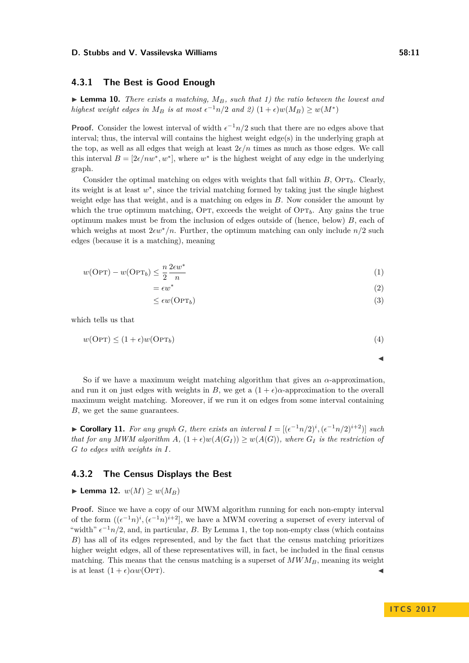# **4.3.1 The Best is Good Enough**

 $\blacktriangleright$  **Lemma 10.** *There exists a matching,*  $M_B$ *, such that 1) the ratio between the lowest and highest weight edges in*  $M_B$  *is at most*  $\epsilon^{-1}n/2$  *and* 2)  $(1+\epsilon)w(M_B) \ge w(M^*)$ 

**Proof.** Consider the lowest interval of width  $\epsilon^{-1}n/2$  such that there are no edges above that interval; thus, the interval will contains the highest weight edge(s) in the underlying graph at the top, as well as all edges that weigh at least  $2\epsilon/n$  times as much as those edges. We call this interval  $B = [2\epsilon/nw^*, w^*]$ , where  $w^*$  is the highest weight of any edge in the underlying graph.

Consider the optimal matching on edges with weights that fall within  $B$ ,  $\text{OPT}_b$ . Clearly, its weight is at least *w* ∗ , since the trivial matching formed by taking just the single highest weight edge has that weight, and is a matching on edges in *B*. Now consider the amount by which the true optimum matching, OPT, exceeds the weight of  $\text{OPT}_b$ . Any gains the true optimum makes must be from the inclusion of edges outside of (hence, below) *B*, each of which weighs at most  $2\epsilon w^*/n$ . Further, the optimum matching can only include  $n/2$  such edges (because it is a matching), meaning

$$
w(\text{OPT}) - w(\text{OPT}_b) \le \frac{n}{2} \frac{2\epsilon w^*}{n}
$$
\n<sup>(1)</sup>

$$
= \epsilon w^* \tag{2}
$$

$$
\leq \epsilon w(\text{OPT}_b) \tag{3}
$$

which tells us that

 $w(\text{OPT}) \leq (1 + \epsilon)w(\text{OPT}_b)$  (4)

So if we have a maximum weight matching algorithm that gives an *α*-approximation, and run it on just edges with weights in *B*, we get a  $(1 + \epsilon)\alpha$ -approximation to the overall maximum weight matching. Moreover, if we run it on edges from some interval containing *B*, we get the same guarantees.

► **Corollary 11.** For any graph *G*, there exists an interval  $I = [(\epsilon^{-1}n/2)^i, (\epsilon^{-1}n/2)^{i+2}]$  such *that for any MWM algorithm A,*  $(1+\epsilon)w(A(G_I)) \geq w(A(G))$ *, where*  $G_I$  *is the restriction of G to edges with weights in I.*

## **4.3.2 The Census Displays the Best**

$$
\blacktriangleright
$$
 Lemma 12.  $w(M) \ge w(M_B)$ 

**Proof.** Since we have a copy of our MWM algorithm running for each non-empty interval of the form  $((e^{-1}n)^i, (e^{-1}n)^{i+2}]$ , we have a MWM covering a superset of every interval of "width"  $\epsilon^{-1}n/2$ , and, in particular, *B*. By Lemma 1, the top non-empty class (which contains *B*) has all of its edges represented, and by the fact that the census matching prioritizes higher weight edges, all of these representatives will, in fact, be included in the final census matching. This means that the census matching is a superset of  $MWM_B$ , meaning its weight is at least  $(1 + \epsilon) \alpha w$ (OPT).

J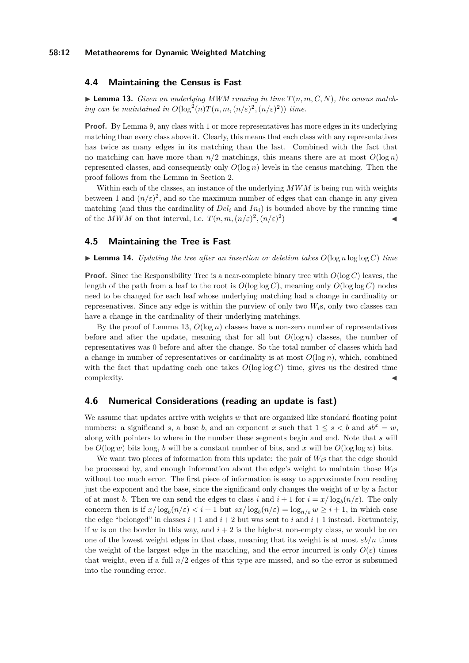## **4.4 Maintaining the Census is Fast**

<span id="page-11-0"></span> $\blacktriangleright$  **Lemma 13.** *Given an underlying MWM running in time*  $T(n, m, C, N)$ *, the census matching can be maintained in*  $O(\log^2(n)T(n,m,(n/\varepsilon)^2,(n/\varepsilon)^2))$  *time.* 

**Proof.** By Lemma [9,](#page-9-2) any class with 1 or more representatives has more edges in its underlying matching than every class above it. Clearly, this means that each class with any representatives has twice as many edges in its matching than the last. Combined with the fact that no matching can have more than  $n/2$  matchings, this means there are at most  $O(\log n)$ represented classes, and consequently only  $O(\log n)$  levels in the census matching. Then the proof follows from the Lemma in Section [2.](#page-5-1)

Within each of the classes, an instance of the underlying *MWM* is being run with weights between 1 and  $(n/\varepsilon)^2$ , and so the maximum number of edges that can change in any given matching (and thus the cardinality of  $Del<sub>i</sub>$  and  $In<sub>i</sub>$ ) is bounded above by the running time of the *MWM* on that interval, i.e.  $T(n, m, (n/\varepsilon)^2, (n/\varepsilon)^2)$ ) and  $\blacksquare$ 

# **4.5 Maintaining the Tree is Fast**

 $\blacktriangleright$  **Lemma 14.** *Updating the tree after an insertion or deletion takes*  $O(\log n \log \log C)$  *time* 

**Proof.** Since the Responsibility Tree is a near-complete binary tree with  $O(\log C)$  leaves, the length of the path from a leaf to the root is  $O(\log \log C)$ , meaning only  $O(\log \log C)$  nodes need to be changed for each leaf whose underlying matching had a change in cardinality or represenatives. Since any edge is within the purview of only two *Wi*s, only two classes can have a change in the cardinality of their underlying matchings.

By the proof of Lemma [13,](#page-11-0) *O*(log *n*) classes have a non-zero number of representatives before and after the update, meaning that for all but  $O(\log n)$  classes, the number of representatives was 0 before and after the change. So the total number of classes which had a change in number of representatives or cardinality is at most  $O(\log n)$ , which, combined with the fact that updating each one takes  $O(\log \log C)$  time, gives us the desired time  $\blacksquare$ complexity.

# **4.6 Numerical Considerations (reading an update is fast)**

We assume that updates arrive with weights *w* that are organized like standard floating point numbers: a significand *s*, a base *b*, and an exponent *x* such that  $1 \le s \le b$  and  $sb^x = w$ , along with pointers to where in the number these segments begin and end. Note that *s* will be  $O(\log w)$  bits long, *b* will be a constant number of bits, and *x* will be  $O(\log \log w)$  bits.

We want two pieces of information from this update: the pair of *Wi*s that the edge should be processed by, and enough information about the edge's weight to maintain those *Wi*s without too much error. The first piece of information is easy to approximate from reading just the exponent and the base, since the significand only changes the weight of *w* by a factor of at most *b*. Then we can send the edges to class *i* and  $i + 1$  for  $i = x/\log_b(n/\varepsilon)$ . The only concern then is if  $x/\log_b(n/\varepsilon) < i+1$  but  $sx/\log_b(n/\varepsilon) = \log_{n/\varepsilon} w \geq i+1$ , in which case the edge "belonged" in classes  $i+1$  and  $i+2$  but was sent to  $i$  and  $i+1$  instead. Fortunately, if *w* is on the border in this way, and  $i + 2$  is the highest non-empty class, *w* would be on one of the lowest weight edges in that class, meaning that its weight is at most  $\varepsilon b/n$  times the weight of the largest edge in the matching, and the error incurred is only  $O(\varepsilon)$  times that weight, even if a full *n/*2 edges of this type are missed, and so the error is subsumed into the rounding error.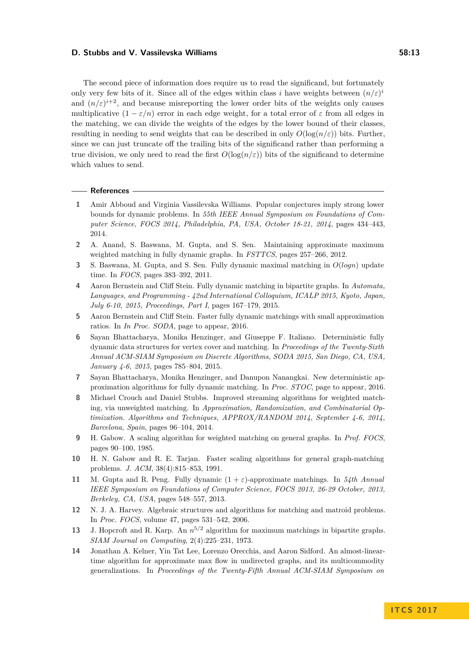The second piece of information does require us to read the significand, but fortunately only very few bits of it. Since all of the edges within class *i* have weights between  $(n/\varepsilon)^i$ and  $(n/\varepsilon)^{i+2}$ , and because misreporting the lower order bits of the weights only causes multiplicative  $(1 - \varepsilon/n)$  error in each edge weight, for a total error of  $\varepsilon$  from all edges in the matching, we can divide the weights of the edges by the lower bound of their classes, resulting in needing to send weights that can be described in only  $O(\log(n/\varepsilon))$  bits. Further, since we can just truncate off the trailing bits of the significand rather than performing a true division, we only need to read the first  $O(\log(n/\varepsilon))$  bits of the significand to determine which values to send.

#### **References**

- <span id="page-12-5"></span>**1** Amir Abboud and Virginia Vassilevska Williams. Popular conjectures imply strong lower bounds for dynamic problems. In *55th IEEE Annual Symposium on Foundations of Computer Science, FOCS 2014, Philadelphia, PA, USA, October 18-21, 2014*, pages 434–443, 2014.
- <span id="page-12-11"></span>**2** A. Anand, S. Baswana, M. Gupta, and S. Sen. Maintaining approximate maximum weighted matching in fully dynamic graphs. In *FSTTCS*, pages 257–266, 2012.
- <span id="page-12-6"></span>**3** S. Baswana, M. Gupta, and S. Sen. Fully dynamic maximal matching in *O*(*logn*) update time. In *FOCS*, pages 383–392, 2011.
- <span id="page-12-9"></span>**4** Aaron Bernstein and Cliff Stein. Fully dynamic matching in bipartite graphs. In *Automata, Languages, and Programming - 42nd International Colloquium, ICALP 2015, Kyoto, Japan, July 6-10, 2015, Proceedings, Part I*, pages 167–179, 2015.
- <span id="page-12-8"></span>**5** Aaron Bernstein and Cliff Stein. Faster fully dynamic matchings with small approximation ratios. In *In Proc. SODA*, page to appear, 2016.
- <span id="page-12-12"></span>**6** Sayan Bhattacharya, Monika Henzinger, and Giuseppe F. Italiano. Deterministic fully dynamic data structures for vertex cover and matching. In *Proceedings of the Twenty-Sixth Annual ACM-SIAM Symposium on Discrete Algorithms, SODA 2015, San Diego, CA, USA, January 4-6, 2015*, pages 785–804, 2015.
- <span id="page-12-10"></span>**7** Sayan Bhattacharya, Monika Henzinger, and Danupon Nanangkai. New deterministic approximation algorithms for fully dynamic matching. In *Proc. STOC*, page to appear, 2016.
- <span id="page-12-13"></span>**8** Michael Crouch and Daniel Stubbs. Improved streaming algorithms for weighted matching, via unweighted matching. In *Approximation, Randomization, and Combinatorial Optimization. Algorithms and Techniques, APPROX/RANDOM 2014, September 4-6, 2014, Barcelona, Spain*, pages 96–104, 2014.
- <span id="page-12-1"></span>**9** H. Gabow. A scaling algorithm for weighted matching on general graphs. In *Prof. FOCS*, pages 90–100, 1985.
- <span id="page-12-4"></span>**10** H. N. Gabow and R. E. Tarjan. Faster scaling algorithms for general graph-matching problems. *J. ACM*, 38(4):815–853, 1991.
- <span id="page-12-7"></span>**11** M. Gupta and R. Peng. Fully dynamic (1 + *ε*)-approximate matchings. In *54th Annual IEEE Symposium on Foundations of Computer Science, FOCS 2013, 26-29 October, 2013, Berkeley, CA, USA*, pages 548–557, 2013.
- <span id="page-12-3"></span>**12** N. J. A. Harvey. Algebraic structures and algorithms for matching and matroid problems. In *Proc. FOCS*, volume 47, pages 531–542, 2006.
- <span id="page-12-0"></span>**13** J. Hopcroft and R. Karp. An *n* <sup>5</sup>*/*<sup>2</sup> algorithm for maximum matchings in bipartite graphs. *SIAM Journal on Computing*, 2(4):225–231, 1973.
- <span id="page-12-2"></span>**14** Jonathan A. Kelner, Yin Tat Lee, Lorenzo Orecchia, and Aaron Sidford. An almost-lineartime algorithm for approximate max flow in undirected graphs, and its multicommodity generalizations. In *Proceedings of the Twenty-Fifth Annual ACM-SIAM Symposium on*